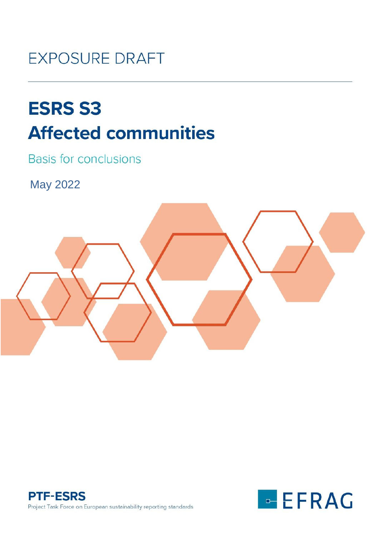# **EXPOSURE DRAFT**

# **ESRS S3 Affected communities**

**Basis for conclusions** 

May 2022





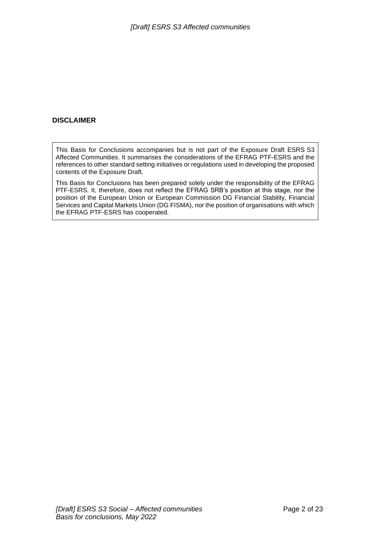#### **DISCLAIMER**

This Basis for Conclusions accompanies but is not part of the Exposure Draft ESRS S3 Affected Communities. It summarises the considerations of the EFRAG PTF-ESRS and the references to other standard setting initiatives or regulations used in developing the proposed contents of the Exposure Draft.

This Basis for Conclusions has been prepared solely under the responsibility of the EFRAG PTF-ESRS. It, therefore, does not reflect the EFRAG SRB's position at this stage, nor the position of the European Union or European Commission DG Financial Stability, Financial Services and Capital Markets Union (DG FISMA), nor the position of organisations with which the EFRAG PTF-ESRS has cooperated.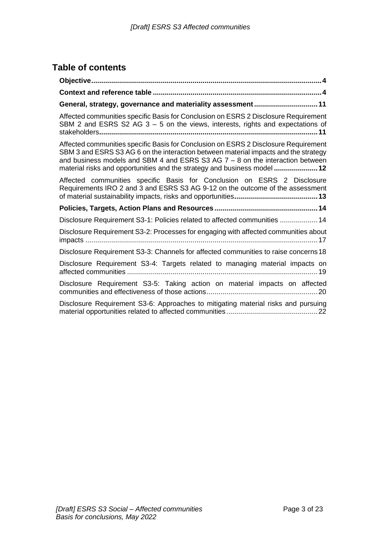# **Table of contents**

| General, strategy, governance and materiality assessment 11                                                                                                                                                                                                                                                                               |
|-------------------------------------------------------------------------------------------------------------------------------------------------------------------------------------------------------------------------------------------------------------------------------------------------------------------------------------------|
| Affected communities specific Basis for Conclusion on ESRS 2 Disclosure Requirement<br>SBM 2 and ESRS S2 AG $3 - 5$ on the views, interests, rights and expectations of                                                                                                                                                                   |
| Affected communities specific Basis for Conclusion on ESRS 2 Disclosure Requirement<br>SBM 3 and ESRS S3 AG 6 on the interaction between material impacts and the strategy<br>and business models and SBM 4 and ESRS S3 AG $7 - 8$ on the interaction between<br>material risks and opportunities and the strategy and business model  12 |
| Affected communities specific Basis for Conclusion on ESRS 2 Disclosure<br>Requirements IRO 2 and 3 and ESRS S3 AG 9-12 on the outcome of the assessment                                                                                                                                                                                  |
|                                                                                                                                                                                                                                                                                                                                           |
| Disclosure Requirement S3-1: Policies related to affected communities  14                                                                                                                                                                                                                                                                 |
| Disclosure Requirement S3-2: Processes for engaging with affected communities about                                                                                                                                                                                                                                                       |
| Disclosure Requirement S3-3: Channels for affected communities to raise concerns 18                                                                                                                                                                                                                                                       |
| Disclosure Requirement S3-4: Targets related to managing material impacts on                                                                                                                                                                                                                                                              |
| Disclosure Requirement S3-5: Taking action on material impacts on affected                                                                                                                                                                                                                                                                |
| Disclosure Requirement S3-6: Approaches to mitigating material risks and pursuing                                                                                                                                                                                                                                                         |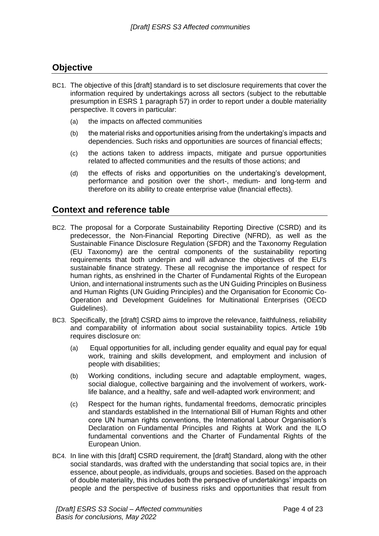## <span id="page-3-0"></span>**Objective**

- BC1. The objective of this [draft] standard is to set disclosure requirements that cover the information required by undertakings across all sectors (subject to the rebuttable presumption in ESRS 1 paragraph 57) in order to report under a double materiality perspective. It covers in particular:
	- (a) the impacts on affected communities
	- (b) the material risks and opportunities arising from the undertaking's impacts and dependencies. Such risks and opportunities are sources of financial effects;
	- (c) the actions taken to address impacts, mitigate and pursue opportunities related to affected communities and the results of those actions; and
	- (d) the effects of risks and opportunities on the undertaking's development, performance and position over the short-, medium- and long-term and therefore on its ability to create enterprise value (financial effects).

### <span id="page-3-1"></span>**Context and reference table**

- BC2. The proposal for a Corporate Sustainability Reporting Directive (CSRD) and its predecessor, the Non-Financial Reporting Directive (NFRD), as well as the Sustainable Finance Disclosure Regulation (SFDR) and the Taxonomy Regulation (EU Taxonomy) are the central components of the sustainability reporting requirements that both underpin and will advance the objectives of the EU's sustainable finance strategy. These all recognise the importance of respect for human rights, as enshrined in the Charter of Fundamental Rights of the European Union, and international instruments such as the UN Guiding Principles on Business and Human Rights (UN Guiding Principles) and the Organisation for Economic Co-Operation and Development Guidelines for Multinational Enterprises (OECD Guidelines).
- BC3. Specifically, the [draft] CSRD aims to improve the relevance, faithfulness, reliability and comparability of information about social sustainability topics. Article 19b requires disclosure on:
	- (a) Equal opportunities for all, including gender equality and equal pay for equal work, training and skills development, and employment and inclusion of people with disabilities;
	- (b) Working conditions, including secure and adaptable employment, wages, social dialogue, collective bargaining and the involvement of workers, worklife balance, and a healthy, safe and well-adapted work environment; and
	- (c) Respect for the human rights, fundamental freedoms, democratic principles and standards established in the International Bill of Human Rights and other core UN human rights conventions, the International Labour Organisation's Declaration on Fundamental Principles and Rights at Work and the ILO fundamental conventions and the Charter of Fundamental Rights of the European Union.
- BC4. In line with this [draft] CSRD requirement, the [draft] Standard, along with the other social standards, was drafted with the understanding that social topics are, in their essence, about people, as individuals, groups and societies. Based on the approach of double materiality, this includes both the perspective of undertakings' impacts on people and the perspective of business risks and opportunities that result from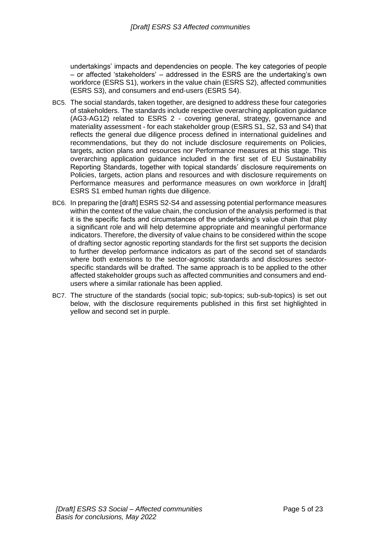undertakings' impacts and dependencies on people. The key categories of people – or affected 'stakeholders' – addressed in the ESRS are the undertaking's own workforce (ESRS S1), workers in the value chain (ESRS S2), affected communities (ESRS S3), and consumers and end-users (ESRS S4).

- BC5. The social standards, taken together, are designed to address these four categories of stakeholders. The standards include respective overarching application guidance (AG3-AG12) related to ESRS 2 - covering general, strategy, governance and materiality assessment - for each stakeholder group (ESRS S1, S2, S3 and S4) that reflects the general due diligence process defined in international guidelines and recommendations, but they do not include disclosure requirements on Policies, targets, action plans and resources nor Performance measures at this stage. This overarching application guidance included in the first set of EU Sustainability Reporting Standards, together with topical standards' disclosure requirements on Policies, targets, action plans and resources and with disclosure requirements on Performance measures and performance measures on own workforce in [draft] ESRS S1 embed human rights due diligence.
- BC6. In preparing the [draft] ESRS S2-S4 and assessing potential performance measures within the context of the value chain, the conclusion of the analysis performed is that it is the specific facts and circumstances of the undertaking's value chain that play a significant role and will help determine appropriate and meaningful performance indicators. Therefore, the diversity of value chains to be considered within the scope of drafting sector agnostic reporting standards for the first set supports the decision to further develop performance indicators as part of the second set of standards where both extensions to the sector-agnostic standards and disclosures sectorspecific standards will be drafted. The same approach is to be applied to the other affected stakeholder groups such as affected communities and consumers and endusers where a similar rationale has been applied.
- BC7. The structure of the standards (social topic; sub-topics; sub-sub-topics) is set out below, with the disclosure requirements published in this first set highlighted in yellow and second set in purple.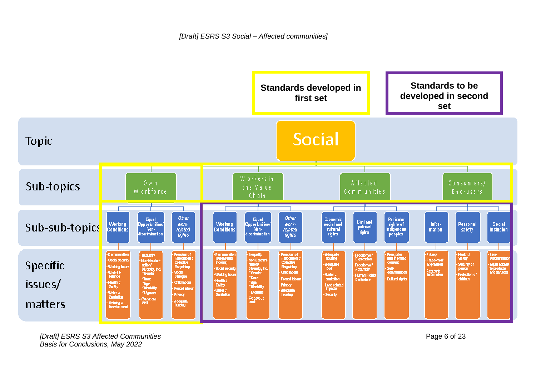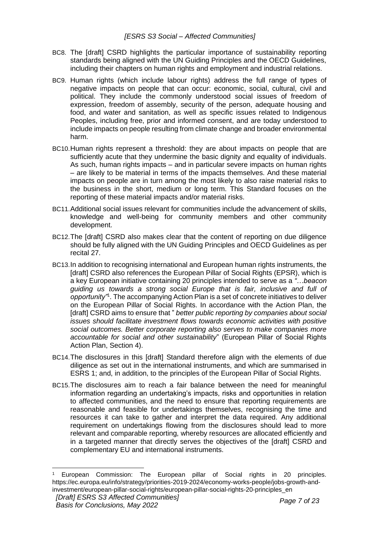- BC8. The [draft] CSRD highlights the particular importance of sustainability reporting standards being aligned with the UN Guiding Principles and the OECD Guidelines, including their chapters on human rights and employment and industrial relations.
- BC9. Human rights (which include labour rights) address the full range of types of negative impacts on people that can occur: economic, social, cultural, civil and political. They include the commonly understood social issues of freedom of expression, freedom of assembly, security of the person, adequate housing and food, and water and sanitation, as well as specific issues related to Indigenous Peoples, including free, prior and informed consent, and are today understood to include impacts on people resulting from climate change and broader environmental harm.
- BC10.Human rights represent a threshold: they are about impacts on people that are sufficiently acute that they undermine the basic dignity and equality of individuals. As such, human rights impacts – and in particular severe impacts on human rights – are likely to be material in terms of the impacts themselves. And these material impacts on people are in turn among the most likely to also raise material risks to the business in the short, medium or long term. This Standard focuses on the reporting of these material impacts and/or material risks.
- BC11.Additional social issues relevant for communities include the advancement of skills, knowledge and well-being for community members and other community development.
- BC12.The [draft] CSRD also makes clear that the content of reporting on due diligence should be fully aligned with the UN Guiding Principles and OECD Guidelines as per recital 27.
- BC13.In addition to recognising international and European human rights instruments, the [draft] CSRD also references the European Pillar of Social Rights (EPSR), which is a key European initiative containing 20 principles intended to serve as a *"…beacon guiding us towards a strong social Europe that is fair, inclusive and full of opportunity"*<sup>1</sup> . The accompanying Action Plan is a set of concrete initiatives to deliver on the European Pillar of Social Rights. In accordance with the Action Plan, the [draft] CSRD aims to ensure that " *better public reporting by companies about social issues should facilitate investment flows towards economic activities with positive social outcomes. Better corporate reporting also serves to make companies more accountable for social and other sustainability*" (European Pillar of Social Rights Action Plan, Section 4).
- BC14.The disclosures in this [draft] Standard therefore align with the elements of due diligence as set out in the international instruments, and which are summarised in ESRS 1; and, in addition, to the principles of the European Pillar of Social Rights.
- BC15.The disclosures aim to reach a fair balance between the need for meaningful information regarding an undertaking's impacts, risks and opportunities in relation to affected communities, and the need to ensure that reporting requirements are reasonable and feasible for undertakings themselves, recognising the time and resources it can take to gather and interpret the data required. Any additional requirement on undertakings flowing from the disclosures should lead to more relevant and comparable reporting, whereby resources are allocated efficiently and in a targeted manner that directly serves the objectives of the [draft] CSRD and complementary EU and international instruments.

European Commission: The European pillar of Social rights in 20 principles. https://ec.europa.eu/info/strategy/priorities-2019-2024/economy-works-people/jobs-growth-andinvestment/european-pillar-social-rights/european-pillar-social-rights-20-principles\_en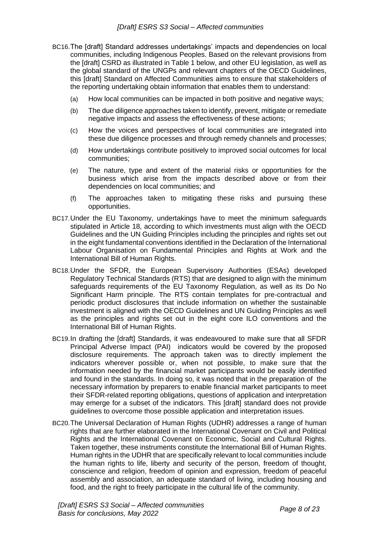- BC16.The [draft] Standard addresses undertakings' impacts and dependencies on local communities, including Indigenous Peoples. Based on the relevant provisions from the [draft] CSRD as illustrated in Table 1 below, and other EU legislation, as well as the global standard of the UNGPs and relevant chapters of the OECD Guidelines, this [draft] Standard on Affected Communities aims to ensure that stakeholders of the reporting undertaking obtain information that enables them to understand:
	- (a) How local communities can be impacted in both positive and negative ways;
	- (b) The due diligence approaches taken to identify, prevent, mitigate or remediate negative impacts and assess the effectiveness of these actions;
	- (c) How the voices and perspectives of local communities are integrated into these due diligence processes and through remedy channels and processes;
	- (d) How undertakings contribute positively to improved social outcomes for local communities;
	- (e) The nature, type and extent of the material risks or opportunities for the business which arise from the impacts described above or from their dependencies on local communities; and
	- (f) The approaches taken to mitigating these risks and pursuing these opportunities.
- BC17.Under the EU Taxonomy, undertakings have to meet the minimum safeguards stipulated in Article 18, according to which investments must align with the OECD Guidelines and the UN Guiding Principles including the principles and rights set out in the eight fundamental conventions identified in the Declaration of the International Labour Organisation on Fundamental Principles and Rights at Work and the International Bill of Human Rights.
- BC18.Under the SFDR, the European Supervisory Authorities (ESAs) developed Regulatory Technical Standards (RTS) that are designed to align with the minimum safeguards requirements of the EU Taxonomy Regulation, as well as its Do No Significant Harm principle. The RTS contain templates for pre-contractual and periodic product disclosures that include information on whether the sustainable investment is aligned with the OECD Guidelines and UN Guiding Principles as well as the principles and rights set out in the eight core ILO conventions and the International Bill of Human Rights.
- BC19.In drafting the [draft] Standards, it was endeavoured to make sure that all SFDR Principal Adverse Impact (PAI) indicators would be covered by the proposed disclosure requirements. The approach taken was to directly implement the indicators wherever possible or, when not possible, to make sure that the information needed by the financial market participants would be easily identified and found in the standards. In doing so, it was noted that in the preparation of the necessary information by preparers to enable financial market participants to meet their SFDR-related reporting obligations, questions of application and interpretation may emerge for a subset of the indicators. This [draft] standard does not provide guidelines to overcome those possible application and interpretation issues.
- BC20.The Universal Declaration of Human Rights (UDHR) addresses a range of human rights that are further elaborated in the International Covenant on Civil and Political Rights and the International Covenant on Economic, Social and Cultural Rights. Taken together, these instruments constitute the International Bill of Human Rights. Human rights in the UDHR that are specifically relevant to local communities include the human rights to life, liberty and security of the person, freedom of thought, conscience and religion, freedom of opinion and expression, freedom of peaceful assembly and association, an adequate standard of living, including housing and food, and the right to freely participate in the cultural life of the community.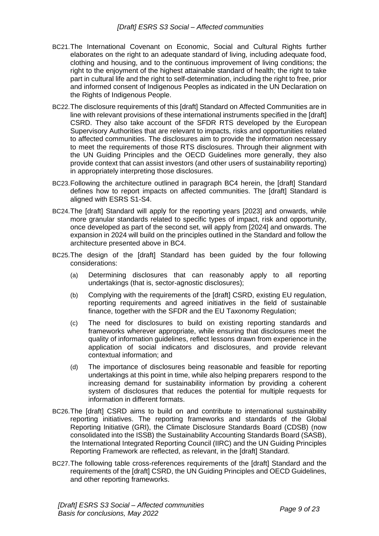- BC21.The International Covenant on Economic, Social and Cultural Rights further elaborates on the right to an adequate standard of living, including adequate food, clothing and housing, and to the continuous improvement of living conditions; the right to the enjoyment of the highest attainable standard of health; the right to take part in cultural life and the right to self-determination, including the right to free, prior and informed consent of Indigenous Peoples as indicated in the UN Declaration on the Rights of Indigenous People.
- BC22.The disclosure requirements of this [draft] Standard on Affected Communities are in line with relevant provisions of these international instruments specified in the [draft] CSRD. They also take account of the SFDR RTS developed by the European Supervisory Authorities that are relevant to impacts, risks and opportunities related to affected communities. The disclosures aim to provide the information necessary to meet the requirements of those RTS disclosures. Through their alignment with the UN Guiding Principles and the OECD Guidelines more generally, they also provide context that can assist investors (and other users of sustainability reporting) in appropriately interpreting those disclosures.
- BC23.Following the architecture outlined in paragraph BC4 herein, the [draft] Standard defines how to report impacts on affected communities. The [draft] Standard is aligned with ESRS S1-S4.
- BC24.The [draft] Standard will apply for the reporting years [2023] and onwards, while more granular standards related to specific types of impact, risk and opportunity, once developed as part of the second set, will apply from [2024] and onwards. The expansion in 2024 will build on the principles outlined in the Standard and follow the architecture presented above in BC4.
- BC25.The design of the [draft] Standard has been guided by the four following considerations:
	- (a) Determining disclosures that can reasonably apply to all reporting undertakings (that is, sector-agnostic disclosures);
	- (b) Complying with the requirements of the [draft] CSRD, existing EU regulation, reporting requirements and agreed initiatives in the field of sustainable finance, together with the SFDR and the EU Taxonomy Regulation;
	- (c) The need for disclosures to build on existing reporting standards and frameworks wherever appropriate, while ensuring that disclosures meet the quality of information guidelines, reflect lessons drawn from experience in the application of social indicators and disclosures, and provide relevant contextual information; and
	- (d) The importance of disclosures being reasonable and feasible for reporting undertakings at this point in time, while also helping preparers respond to the increasing demand for sustainability information by providing a coherent system of disclosures that reduces the potential for multiple requests for information in different formats.
- BC26.The [draft] CSRD aims to build on and contribute to international sustainability reporting initiatives. The reporting frameworks and standards of the Global Reporting Initiative (GRI), the Climate Disclosure Standards Board (CDSB) (now consolidated into the ISSB) the Sustainability Accounting Standards Board (SASB), the International Integrated Reporting Council (IIRC) and the UN Guiding Principles Reporting Framework are reflected, as relevant, in the [draft] Standard.
- BC27.The following table cross-references requirements of the [draft] Standard and the requirements of the [draft] CSRD, the UN Guiding Principles and OECD Guidelines, and other reporting frameworks.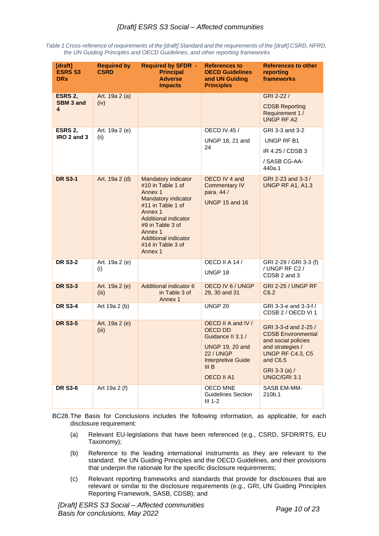| Table 1 Cross-reference of requirements of the [draft] Standard and the requirements of the [draft] CSRD, NFRD, |  |
|-----------------------------------------------------------------------------------------------------------------|--|
| the UN Guiding Principles and OECD Guidelines, and other reporting frameworks                                   |  |

| [draft]<br><b>ESRS S3</b><br><b>DRs</b> | <b>Required by</b><br><b>CSRD</b> | <b>Required by SFDR -</b><br><b>Principal</b><br><b>Adverse</b><br><b>Impacts</b>                                        | <b>References to</b><br><b>OECD Guidelines</b><br>and UN Guiding<br><b>Principles</b>                                                         | <b>References to other</b><br>reporting<br>frameworks                                                                                         |
|-----------------------------------------|-----------------------------------|--------------------------------------------------------------------------------------------------------------------------|-----------------------------------------------------------------------------------------------------------------------------------------------|-----------------------------------------------------------------------------------------------------------------------------------------------|
| ESRS 2,<br><b>SBM 3 and</b>             | Art. 19a 2 (a)<br>(iv)            |                                                                                                                          |                                                                                                                                               | GRI 2-22 /                                                                                                                                    |
| 4                                       |                                   |                                                                                                                          |                                                                                                                                               | <b>CDSB Reporting</b><br>Requirement 1 /<br><b>UNGP RF A2</b>                                                                                 |
| ESRS 2,<br>IRO 2 and 3                  | Art. 19a 2 (e)                    |                                                                                                                          | <b>OECD IV.45 /</b>                                                                                                                           | GRI 3-3 and 3-2                                                                                                                               |
|                                         | (ii)                              |                                                                                                                          | UNGP 18, 21 and<br>24                                                                                                                         | UNGP RF B1                                                                                                                                    |
|                                         |                                   |                                                                                                                          |                                                                                                                                               | IR 4.25 / CDSB 3                                                                                                                              |
|                                         |                                   |                                                                                                                          |                                                                                                                                               | / SASB CG-AA-<br>440a.1                                                                                                                       |
| <b>DR S3-1</b>                          | Art. 19a 2 (d)                    | <b>Mandatory indicator</b><br>#10 in Table 1 of<br>Annex 1<br><b>Mandatory indicator</b><br>#11 in Table 1 of<br>Annex 1 | OECD IV 4 and<br><b>Commentary IV</b><br>para. 44 /<br><b>UNGP 15 and 16</b>                                                                  | GRI 2-23 and 3-3 /<br><b>UNGP RF A1, A1.3</b>                                                                                                 |
|                                         |                                   | Additional indicator<br>#9 in Table 3 of<br>Annex 1<br>Additional indicator<br>#14 in Table 3 of<br>Annex 1              |                                                                                                                                               |                                                                                                                                               |
| <b>DR S3-2</b>                          | Art. 19a 2 (e)                    |                                                                                                                          | OECD II A 14 /                                                                                                                                | GRI 2-29 / GRI 3-3 (f)                                                                                                                        |
|                                         | (i)                               |                                                                                                                          | UNGP <sub>18</sub>                                                                                                                            | / UNGP RF C2 /<br>CDSB 2 and 3                                                                                                                |
| <b>DR S3-3</b>                          | Art. 19a 2 (e)<br>(iii)           | <b>Additional indicator 6</b><br>in Table 3 of<br>Annex 1                                                                | OECD IV 6 / UNGP<br>29, 30 and 31                                                                                                             | <b>GRI 2-25 / UNGP RF</b><br>C6.2                                                                                                             |
| <b>DR S3-4</b>                          | Art 19a 2 (b)                     |                                                                                                                          | UNGP 20                                                                                                                                       | GRI 3-3-e and 3-3-f /<br>CDSB 2 / OECD VI 1                                                                                                   |
| <b>DR S3-5</b>                          | Art. 19a 2 (e)<br>(iii)           |                                                                                                                          | OECD II A and IV /<br><b>OECD DD</b><br>Guidance II 3.1 /<br><b>UNGP 19, 20 and</b><br><b>22 / UNGP</b><br><b>Interpretive Guide</b><br>III B | GRI 3-3-d and 2-25 /<br><b>CDSB Environmental</b><br>and social policies<br>and strategies /<br>UNGP RF C4.3, C5<br>and C6.5<br>GRI 3-3 (a) / |
|                                         |                                   |                                                                                                                          | <b>OECD II A1</b>                                                                                                                             | UNGC/GRI 3.1                                                                                                                                  |
| <b>DR S3-6</b>                          | Art 19a 2 (f)                     |                                                                                                                          | <b>OECD MNE</b><br><b>Guidelines Section</b><br>$III$ 1-2                                                                                     | SASB EM-MM-<br>210b.1                                                                                                                         |

BC28.The Basis for Conclusions includes the following information, as applicable, for each disclosure requirement:

- (a) Relevant EU-legislations that have been referenced (e.g., CSRD, SFDR/RTS, EU Taxonomy);
- (b) Reference to the leading international instruments as they are relevant to the standard: the UN Guiding Principles and the OECD Guidelines, and their provisions that underpin the rationale for the specific disclosure requirements;
- (c) Relevant reporting frameworks and standards that provide for disclosures that are relevant or similar to the disclosure requirements (e.g., GRI, UN Guiding Principles Reporting Framework, SASB, CDSB); and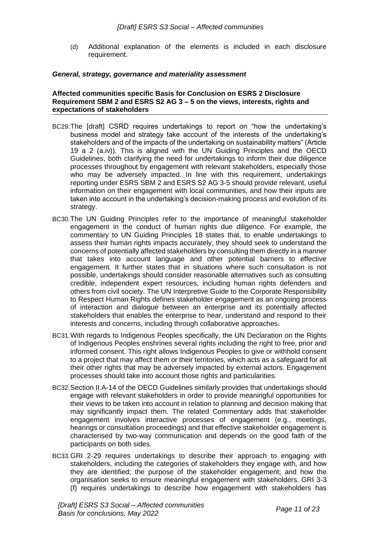(d) Additional explanation of the elements is included in each disclosure requirement.

#### <span id="page-10-0"></span>*General, strategy, governance and materiality assessment*

#### <span id="page-10-1"></span>**Affected communities specific Basis for Conclusion on ESRS 2 Disclosure Requirement SBM 2 and ESRS S2 AG 3 – 5 on the views, interests, rights and expectations of stakeholders**

- BC29.The [draft] CSRD requires undertakings to report on "how the undertaking's business model and strategy take account of the interests of the undertaking's stakeholders and of the impacts of the undertaking on sustainability matters" (Article 19 a 2 (a.iv)). This is aligned with the UN Guiding Principles and the OECD Guidelines, both clarifying the need for undertakings to inform their due diligence processes throughout by engagement with relevant stakeholders, especially those who may be adversely impacted. In line with this requirement, undertakings reporting under ESRS SBM 2 and ESRS S2 AG 3-5 should provide relevant, useful information on their engagement with local communities, and how their inputs are taken into account in the undertaking's decision-making process and evolution of its strategy.
- BC30.The UN Guiding Principles refer to the importance of meaningful stakeholder engagement in the conduct of human rights due diligence. For example, the commentary to UN Guiding Principles 18 states that, to enable undertakings to assess their human rights impacts accurately, they should seek to understand the concerns of potentially affected stakeholders by consulting them directly in a manner that takes into account language and other potential barriers to effective engagement. It further states that in situations where such consultation is not possible, undertakings should consider reasonable alternatives such as consulting credible, independent expert resources, including human rights defenders and others from civil society. The UN Interpretive Guide to the Corporate Responsibility to Respect Human Rights defines stakeholder engagement as an ongoing process of interaction and dialogue between an enterprise and its potentially affected stakeholders that enables the enterprise to hear, understand and respond to their interests and concerns, including through collaborative approaches.
- BC31.With regards to Indigenous Peoples specifically, the UN Declaration on the Rights of Indigenous Peoples enshrines several rights including the right to free, prior and informed consent. This right allows Indigenous Peoples to give or withhold consent to a project that may affect them or their territories, which acts as a safeguard for all their other rights that may be adversely impacted by external actors. Engagement processes should take into account those rights and particularities.
- BC32.Section II.A-14 of the OECD Guidelines similarly provides that undertakings should engage with relevant stakeholders in order to provide meaningful opportunities for their views to be taken into account in relation to planning and decision making that may significantly impact them. The related Commentary adds that stakeholder engagement involves interactive processes of engagement (e.g., meetings, hearings or consultation proceedings) and that effective stakeholder engagement is characterised by two-way communication and depends on the good faith of the participants on both sides.
- BC33.GRI 2-29 requires undertakings to describe their approach to engaging with stakeholders, including the categories of stakeholders they engage with, and how they are identified; the purpose of the stakeholder engagement; and how the organisation seeks to ensure meaningful engagement with stakeholders. GRI 3-3 (f) requires undertakings to describe how engagement with stakeholders has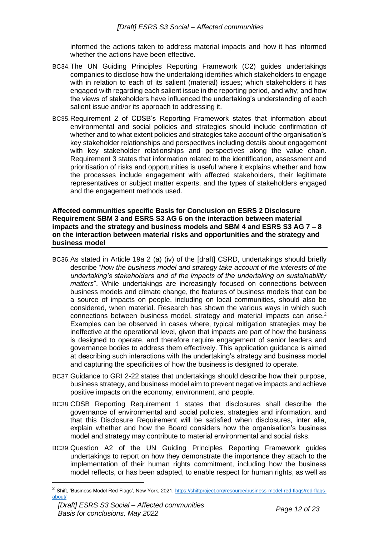informed the actions taken to address material impacts and how it has informed whether the actions have been effective.

- BC34.The UN Guiding Principles Reporting Framework (C2) guides undertakings companies to disclose how the undertaking identifies which stakeholders to engage with in relation to each of its salient (material) issues; which stakeholders it has engaged with regarding each salient issue in the reporting period, and why; and how the views of stakeholders have influenced the undertaking's understanding of each salient issue and/or its approach to addressing it.
- BC35.Requirement 2 of CDSB's Reporting Framework states that information about environmental and social policies and strategies should include confirmation of whether and to what extent policies and strategies take account of the organisation's key stakeholder relationships and perspectives including details about engagement with key stakeholder relationships and perspectives along the value chain. Requirement 3 states that information related to the identification, assessment and prioritisation of risks and opportunities is useful where it explains whether and how the processes include engagement with affected stakeholders, their legitimate representatives or subject matter experts, and the types of stakeholders engaged and the engagement methods used.

<span id="page-11-0"></span>**Affected communities specific Basis for Conclusion on ESRS 2 Disclosure Requirement SBM 3 and ESRS S3 AG 6 on the interaction between material impacts and the strategy and business models and SBM 4 and ESRS S3 AG 7 – 8 on the interaction between material risks and opportunities and the strategy and business model**

- BC36.As stated in Article 19a 2 (a) (iv) of the [draft] CSRD, undertakings should briefly describe "*how the business model and strategy take account of the interests of the undertaking's stakeholders and of the impacts of the undertaking on sustainability matters*". While undertakings are increasingly focused on connections between business models and climate change, the features of business models that can be a source of impacts on people, including on local communities, should also be considered, when material. Research has shown the various ways in which such connections between business model, strategy and material impacts can arise. $2$ Examples can be observed in cases where, typical mitigation strategies may be ineffective at the operational level, given that impacts are part of how the business is designed to operate, and therefore require engagement of senior leaders and governance bodies to address them effectively. This application guidance is aimed at describing such interactions with the undertaking's strategy and business model and capturing the specificities of how the business is designed to operate.
- BC37.Guidance to GRI 2-22 states that undertakings should describe how their purpose, business strategy, and business model aim to prevent negative impacts and achieve positive impacts on the economy, environment, and people.
- BC38.CDSB Reporting Requirement 1 states that disclosures shall describe the governance of environmental and social policies, strategies and information, and that this Disclosure Requirement will be satisfied when disclosures, inter alia, explain whether and how the Board considers how the organisation's business model and strategy may contribute to material environmental and social risks.
- BC39.Question A2 of the UN Guiding Principles Reporting Framework guides undertakings to report on how they demonstrate the importance they attach to the implementation of their human rights commitment, including how the business model reflects, or has been adapted, to enable respect for human rights, as well as

<sup>&</sup>lt;sup>2</sup> Shift, 'Business Model Red Flags', New York, 2021, [https://shiftproject.org/resource/business-model-red-flags/red-flags](https://shiftproject.org/resource/business-model-red-flags/red-flags-about/)[about/](https://shiftproject.org/resource/business-model-red-flags/red-flags-about/)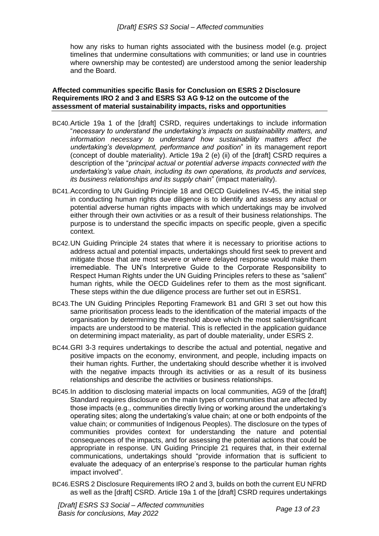how any risks to human rights associated with the business model (e.g. project timelines that undermine consultations with communities; or land use in countries where ownership may be contested) are understood among the senior leadership and the Board.

#### <span id="page-12-0"></span>**Affected communities specific Basis for Conclusion on ESRS 2 Disclosure Requirements IRO 2 and 3 and ESRS S3 AG 9-12 on the outcome of the assessment of material sustainability impacts, risks and opportunities**

- BC40.Article 19a 1 of the [draft] CSRD, requires undertakings to include information "*necessary to understand the undertaking's impacts on sustainability matters, and information necessary to understand how sustainability matters affect the undertaking's development, performance and position*" in its management report (concept of double materiality). Article 19a 2 (e) (ii) of the [draft] CSRD requires a description of the "*principal actual or potential adverse impacts connected with the undertaking's value chain, including its own operations, its products and services, its business relationships and its supply chain*" (impact materiality).
- BC41.According to UN Guiding Principle 18 and OECD Guidelines IV-45, the initial step in conducting human rights due diligence is to identify and assess any actual or potential adverse human rights impacts with which undertakings may be involved either through their own activities or as a result of their business relationships. The purpose is to understand the specific impacts on specific people, given a specific context.
- BC42.UN Guiding Principle 24 states that where it is necessary to prioritise actions to address actual and potential impacts, undertakings should first seek to prevent and mitigate those that are most severe or where delayed response would make them irremediable. The UN's Interpretive Guide to the Corporate Responsibility to Respect Human Rights under the UN Guiding Principles refers to these as "salient" human rights, while the OECD Guidelines refer to them as the most significant. These steps within the due diligence process are further set out in ESRS1.
- BC43.The UN Guiding Principles Reporting Framework B1 and GRI 3 set out how this same prioritisation process leads to the identification of the material impacts of the organisation by determining the threshold above which the most salient/significant impacts are understood to be material. This is reflected in the application guidance on determining impact materiality, as part of double materiality, under ESRS 2.
- BC44.GRI 3-3 requires undertakings to describe the actual and potential, negative and positive impacts on the economy, environment, and people, including impacts on their human rights. Further, the undertaking should describe whether it is involved with the negative impacts through its activities or as a result of its business relationships and describe the activities or business relationships.
- BC45.In addition to disclosing material impacts on local communities, AG9 of the [draft] Standard requires disclosure on the main types of communities that are affected by those impacts (e.g., communities directly living or working around the undertaking's operating sites; along the undertaking's value chain; at one or both endpoints of the value chain; or communities of Indigenous Peoples). The disclosure on the types of communities provides context for understanding the nature and potential consequences of the impacts, and for assessing the potential actions that could be appropriate in response. UN Guiding Principle 21 requires that, in their external communications, undertakings should "provide information that is sufficient to evaluate the adequacy of an enterprise's response to the particular human rights impact involved".
- BC46.ESRS 2 Disclosure Requirements IRO 2 and 3, builds on both the current EU NFRD as well as the [draft] CSRD. Article 19a 1 of the [draft] CSRD requires undertakings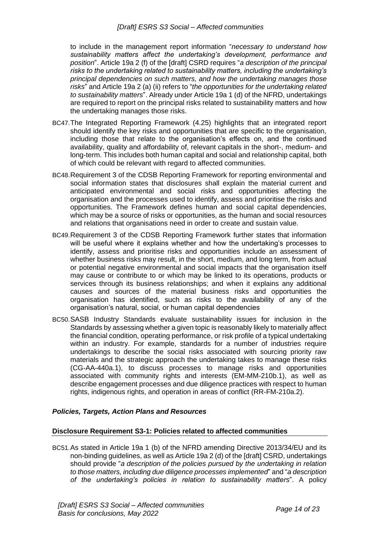to include in the management report information "*necessary to understand how sustainability matters affect the undertaking's development, performance and position*". Article 19a 2 (f) of the [draft] CSRD requires "*a description of the principal risks to the undertaking related to sustainability matters, including the undertaking's principal dependencies on such matters, and how the undertaking manages those risks*" and Article 19a 2 (a) (ii) refers to "*the opportunities for the undertaking related to sustainability matters*". Already under Article 19a 1 (d) of the NFRD, undertakings are required to report on the principal risks related to sustainability matters and how the undertaking manages those risks.

- BC47.The Integrated Reporting Framework (4.25) highlights that an integrated report should identify the key risks and opportunities that are specific to the organisation, including those that relate to the organisation's effects on, and the continued availability, quality and affordability of, relevant capitals in the short-, medium- and long-term. This includes both human capital and social and relationship capital, both of which could be relevant with regard to affected communities.
- BC48.Requirement 3 of the CDSB Reporting Framework for reporting environmental and social information states that disclosures shall explain the material current and anticipated environmental and social risks and opportunities affecting the organisation and the processes used to identify, assess and prioritise the risks and opportunities. The Framework defines human and social capital dependencies, which may be a source of risks or opportunities, as the human and social resources and relations that organisations need in order to create and sustain value.
- BC49.Requirement 3 of the CDSB Reporting Framework further states that information will be useful where it explains whether and how the undertaking's processes to identify, assess and prioritise risks and opportunities include an assessment of whether business risks may result, in the short, medium, and long term, from actual or potential negative environmental and social impacts that the organisation itself may cause or contribute to or which may be linked to its operations, products or services through its business relationships; and when it explains any additional causes and sources of the material business risks and opportunities the organisation has identified, such as risks to the availability of any of the organisation's natural, social, or human capital dependencies
- BC50.SASB Industry Standards evaluate sustainability issues for inclusion in the Standards by assessing whether a given topic is reasonably likely to materially affect the financial condition, operating performance, or risk profile of a typical undertaking within an industry. For example, standards for a number of industries require undertakings to describe the social risks associated with sourcing priority raw materials and the strategic approach the undertaking takes to manage these risks (CG-AA-440a.1), to discuss processes to manage risks and opportunities associated with community rights and interests (EM-MM-210b.1), as well as describe engagement processes and due diligence practices with respect to human rights, indigenous rights, and operation in areas of conflict (RR-FM-210a.2).

#### <span id="page-13-0"></span>*Policies, Targets, Action Plans and Resources*

#### <span id="page-13-1"></span>**Disclosure Requirement S3-1: Policies related to affected communities**

BC51.As stated in Article 19a 1 (b) of the NFRD amending Directive 2013/34/EU and its non-binding guidelines, as well as Article 19a 2 (d) of the [draft] CSRD, undertakings should provide "*a description of the policies pursued by the undertaking in relation to those matters, including due diligence processes implemented*" and "*a description of the undertaking's policies in relation to sustainability matters*". A policy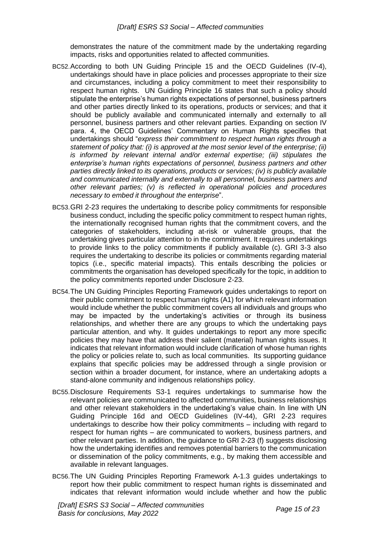demonstrates the nature of the commitment made by the undertaking regarding impacts, risks and opportunities related to affected communities.

- BC52.According to both UN Guiding Principle 15 and the OECD Guidelines (IV-4), undertakings should have in place policies and processes appropriate to their size and circumstances, including a policy commitment to meet their responsibility to respect human rights. UN Guiding Principle 16 states that such a policy should stipulate the enterprise's human rights expectations of personnel, business partners and other parties directly linked to its operations, products or services; and that it should be publicly available and communicated internally and externally to all personnel, business partners and other relevant parties. Expanding on section IV para. 4, the OECD Guidelines' Commentary on Human Rights specifies that undertakings should "*express their commitment to respect human rights through a statement of policy that: (i) is approved at the most senior level of the enterprise; (ii) is informed by relevant internal and/or external expertise; (iii) stipulates the enterprise's human rights expectations of personnel, business partners and other parties directly linked to its operations, products or services; (iv) is publicly available and communicated internally and externally to all personnel, business partners and other relevant parties; (v) is reflected in operational policies and procedures necessary to embed it throughout the enterprise*".
- BC53.GRI 2-23 requires the undertaking to describe policy commitments for responsible business conduct, including the specific policy commitment to respect human rights, the internationally recognised human rights that the commitment covers, and the categories of stakeholders, including at-risk or vulnerable groups, that the undertaking gives particular attention to in the commitment. It requires undertakings to provide links to the policy commitments if publicly available (c). GRI 3-3 also requires the undertaking to describe its policies or commitments regarding material topics (i.e., specific material impacts). This entails describing the policies or commitments the organisation has developed specifically for the topic, in addition to the policy commitments reported under Disclosure 2-23.
- BC54.The UN Guiding Principles Reporting Framework guides undertakings to report on their public commitment to respect human rights (A1) for which relevant information would include whether the public commitment covers all individuals and groups who may be impacted by the undertaking's activities or through its business relationships, and whether there are any groups to which the undertaking pays particular attention, and why. It guides undertakings to report any more specific policies they may have that address their salient (material) human rights issues. It indicates that relevant information would include clarification of whose human rights the policy or policies relate to, such as local communities. Its supporting guidance explains that specific policies may be addressed through a single provision or section within a broader document, for instance, where an undertaking adopts a stand-alone community and indigenous relationships policy.
- BC55.Disclosure Requirements S3-1 requires undertakings to summarise how the relevant policies are communicated to affected communities, business relationships and other relevant stakeholders in the undertaking's value chain. In line with UN Guiding Principle 16d and OECD Guidelines (IV-44), GRI 2-23 requires undertakings to describe how their policy commitments – including with regard to respect for human rights – are communicated to workers, business partners, and other relevant parties. In addition, the guidance to GRI 2-23 (f) suggests disclosing how the undertaking identifies and removes potential barriers to the communication or dissemination of the policy commitments, e.g., by making them accessible and available in relevant languages.
- BC56.The UN Guiding Principles Reporting Framework A-1.3 guides undertakings to report how their public commitment to respect human rights is disseminated and indicates that relevant information would include whether and how the public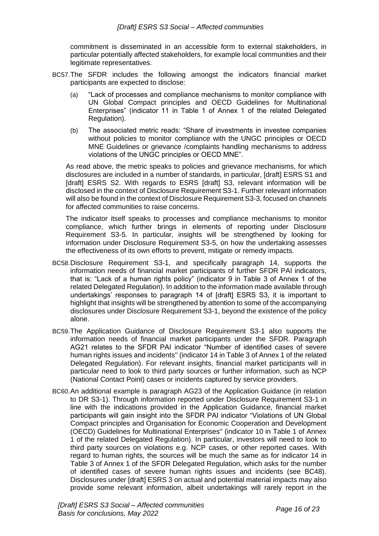commitment is disseminated in an accessible form to external stakeholders, in particular potentially affected stakeholders, for example local communities and their legitimate representatives.

- BC57.The SFDR includes the following amongst the indicators financial market participants are expected to disclose:
	- (a) "Lack of processes and compliance mechanisms to monitor compliance with UN Global Compact principles and OECD Guidelines for Multinational Enterprises" (indicator 11 in Table 1 of Annex 1 of the related Delegated Regulation).
	- (b) The associated metric reads: "Share of investments in investee companies without policies to monitor compliance with the UNGC principles or OECD MNE Guidelines or grievance /complaints handling mechanisms to address violations of the UNGC principles or OECD MNE".

As read above, the metric speaks to policies and grievance mechanisms, for which disclosures are included in a number of standards, in particular, [draft] ESRS S1 and [draft] ESRS S2. With regards to ESRS [draft] S3, relevant information will be disclosed in the context of Disclosure Requirement S3-1. Further relevant information will also be found in the context of Disclosure Requirement S3-3, focused on channels for affected communities to raise concerns.

The indicator itself speaks to processes and compliance mechanisms to monitor compliance, which further brings in elements of reporting under Disclosure Requirement S3-5. In particular, insights will be strengthened by looking for information under Disclosure Requirement S3-5, on how the undertaking assesses the effectiveness of its own efforts to prevent, mitigate or remedy impacts.

- BC58.Disclosure Requirement S3-1, and specifically paragraph 14, supports the information needs of financial market participants of further SFDR PAI indicators, that is: "Lack of a human rights policy" (indicator 9 in Table 3 of Annex 1 of the related Delegated Regulation). In addition to the information made available through undertakings' responses to paragraph 14 of [draft] ESRS S3, it is important to highlight that insights will be strengthened by attention to some of the accompanying disclosures under Disclosure Requirement S3-1, beyond the existence of the policy alone.
- BC59.The Application Guidance of Disclosure Requirement S3-1 also supports the information needs of financial market participants under the SFDR. Paragraph AG21 relates to the SFDR PAI indicator "Number of identified cases of severe human rights issues and incidents'' (indicator 14 in Table 3 of Annex 1 of the related Delegated Regulation). For relevant insights, financial market participants will in particular need to look to third party sources or further information, such as NCP (National Contact Point) cases or incidents captured by service providers.
- BC60.An additional example is paragraph AG23 of the Application Guidance (in relation to DR S3-1). Through information reported under Disclosure Requirement S3-1 in line with the indications provided in the Application Guidance, financial market participants will gain insight into the SFDR PAI indicator "Violations of UN Global Compact principles and Organisation for Economic Cooperation and Development (OECD) Guidelines for Multinational Enterprises'' (indicator 10 in Table 1 of Annex 1 of the related Delegated Regulation). In particular, investors will need to look to third party sources on violations e.g. NCP cases, or other reported cases. With regard to human rights, the sources will be much the same as for indicator 14 in Table 3 of Annex 1 of the SFDR Delegated Regulation, which asks for the number of identified cases of severe human rights issues and incidents (see BC48). Disclosures under [draft] ESRS 3 on actual and potential material impacts may also provide some relevant information, albeit undertakings will rarely report in the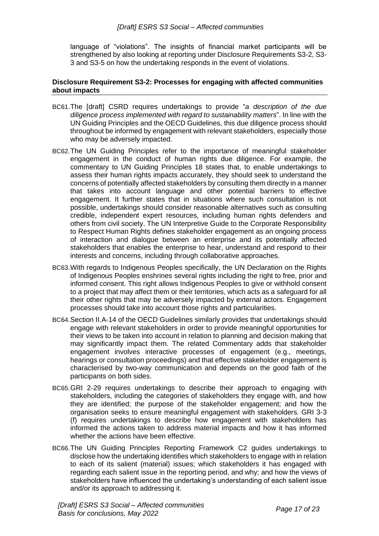language of "violations". The insights of financial market participants will be strengthened by also looking at reporting under Disclosure Requirements S3-2, S3- 3 and S3-5 on how the undertaking responds in the event of violations.

#### <span id="page-16-0"></span>**Disclosure Requirement S3-2: Processes for engaging with affected communities about impacts**

- BC61.The [draft] CSRD requires undertakings to provide "*a description of the due diligence process implemented with regard to sustainability matters*". In line with the UN Guiding Principles and the OECD Guidelines, this due diligence process should throughout be informed by engagement with relevant stakeholders, especially those who may be adversely impacted.
- BC62.The UN Guiding Principles refer to the importance of meaningful stakeholder engagement in the conduct of human rights due diligence. For example, the commentary to UN Guiding Principles 18 states that, to enable undertakings to assess their human rights impacts accurately, they should seek to understand the concerns of potentially affected stakeholders by consulting them directly in a manner that takes into account language and other potential barriers to effective engagement. It further states that in situations where such consultation is not possible, undertakings should consider reasonable alternatives such as consulting credible, independent expert resources, including human rights defenders and others from civil society. The UN Interpretive Guide to the Corporate Responsibility to Respect Human Rights defines stakeholder engagement as an ongoing process of interaction and dialogue between an enterprise and its potentially affected stakeholders that enables the enterprise to hear, understand and respond to their interests and concerns, including through collaborative approaches.
- BC63.With regards to Indigenous Peoples specifically, the UN Declaration on the Rights of Indigenous Peoples enshrines several rights including the right to free, prior and informed consent. This right allows Indigenous Peoples to give or withhold consent to a project that may affect them or their territories, which acts as a safeguard for all their other rights that may be adversely impacted by external actors. Engagement processes should take into account those rights and particularities.
- BC64.Section II.A-14 of the OECD Guidelines similarly provides that undertakings should engage with relevant stakeholders in order to provide meaningful opportunities for their views to be taken into account in relation to planning and decision making that may significantly impact them. The related Commentary adds that stakeholder engagement involves interactive processes of engagement (e.g., meetings, hearings or consultation proceedings) and that effective stakeholder engagement is characterised by two-way communication and depends on the good faith of the participants on both sides.
- BC65.GRI 2-29 requires undertakings to describe their approach to engaging with stakeholders, including the categories of stakeholders they engage with, and how they are identified; the purpose of the stakeholder engagement; and how the organisation seeks to ensure meaningful engagement with stakeholders. GRI 3-3 (f) requires undertakings to describe how engagement with stakeholders has informed the actions taken to address material impacts and how it has informed whether the actions have been effective.
- BC66.The UN Guiding Principles Reporting Framework C2 guides undertakings to disclose how the undertaking identifies which stakeholders to engage with in relation to each of its salient (material) issues; which stakeholders it has engaged with regarding each salient issue in the reporting period, and why; and how the views of stakeholders have influenced the undertaking's understanding of each salient issue and/or its approach to addressing it.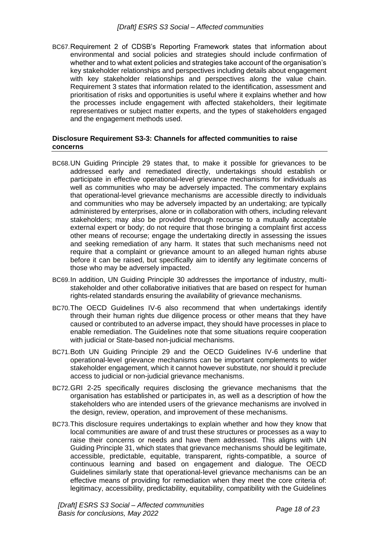BC67.Requirement 2 of CDSB's Reporting Framework states that information about environmental and social policies and strategies should include confirmation of whether and to what extent policies and strategies take account of the organisation's key stakeholder relationships and perspectives including details about engagement with key stakeholder relationships and perspectives along the value chain. Requirement 3 states that information related to the identification, assessment and prioritisation of risks and opportunities is useful where it explains whether and how the processes include engagement with affected stakeholders, their legitimate representatives or subject matter experts, and the types of stakeholders engaged and the engagement methods used.

#### <span id="page-17-0"></span>**Disclosure Requirement S3-3: Channels for affected communities to raise concerns**

- BC68.UN Guiding Principle 29 states that, to make it possible for grievances to be addressed early and remediated directly, undertakings should establish or participate in effective operational-level grievance mechanisms for individuals as well as communities who may be adversely impacted. The commentary explains that operational-level grievance mechanisms are accessible directly to individuals and communities who may be adversely impacted by an undertaking; are typically administered by enterprises, alone or in collaboration with others, including relevant stakeholders; may also be provided through recourse to a mutually acceptable external expert or body; do not require that those bringing a complaint first access other means of recourse; engage the undertaking directly in assessing the issues and seeking remediation of any harm. It states that such mechanisms need not require that a complaint or grievance amount to an alleged human rights abuse before it can be raised, but specifically aim to identify any legitimate concerns of those who may be adversely impacted.
- BC69.In addition, UN Guiding Principle 30 addresses the importance of industry, multistakeholder and other collaborative initiatives that are based on respect for human rights-related standards ensuring the availability of grievance mechanisms.
- BC70.The OECD Guidelines IV-6 also recommend that when undertakings identify through their human rights due diligence process or other means that they have caused or contributed to an adverse impact, they should have processes in place to enable remediation. The Guidelines note that some situations require cooperation with judicial or State-based non-judicial mechanisms.
- BC71.Both UN Guiding Principle 29 and the OECD Guidelines IV-6 underline that operational-level grievance mechanisms can be important complements to wider stakeholder engagement, which it cannot however substitute, nor should it preclude access to judicial or non-judicial grievance mechanisms.
- BC72.GRI 2-25 specifically requires disclosing the grievance mechanisms that the organisation has established or participates in, as well as a description of how the stakeholders who are intended users of the grievance mechanisms are involved in the design, review, operation, and improvement of these mechanisms.
- BC73.This disclosure requires undertakings to explain whether and how they know that local communities are aware of and trust these structures or processes as a way to raise their concerns or needs and have them addressed. This aligns with UN Guiding Principle 31, which states that grievance mechanisms should be legitimate, accessible, predictable, equitable, transparent, rights-compatible, a source of continuous learning and based on engagement and dialogue. The OECD Guidelines similarly state that operational-level grievance mechanisms can be an effective means of providing for remediation when they meet the core criteria of: legitimacy, accessibility, predictability, equitability, compatibility with the Guidelines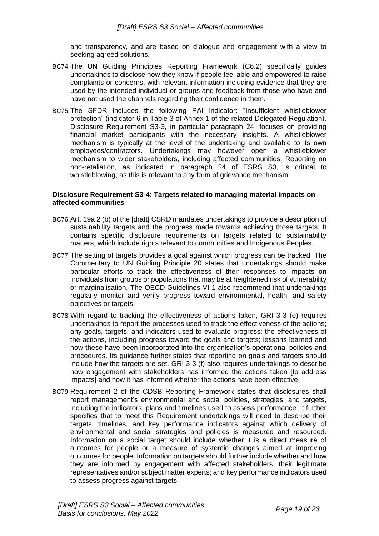and transparency, and are based on dialogue and engagement with a view to seeking agreed solutions.

- BC74.The UN Guiding Principles Reporting Framework (C6.2) specifically guides undertakings to disclose how they know if people feel able and empowered to raise complaints or concerns, with relevant information including evidence that they are used by the intended individual or groups and feedback from those who have and have not used the channels regarding their confidence in them.
- BC75.The SFDR includes the following PAI indicator: "Insufficient whistleblower protection" (indicator 6 in Table 3 of Annex 1 of the related Delegated Regulation). Disclosure Requirement S3-3, in particular paragraph 24, focuses on providing financial market participants with the necessary insights. A whistleblower mechanism is typically at the level of the undertaking and available to its own employees/contractors. Undertakings may however open a whistleblower mechanism to wider stakeholders, including affected communities. Reporting on non-retaliation, as indicated in paragraph 24 of ESRS S3, is critical to whistleblowing, as this is relevant to any form of grievance mechanism.

#### <span id="page-18-0"></span>**Disclosure Requirement S3-4: Targets related to managing material impacts on affected communities**

- BC76.Art. 19a 2 (b) of the [draft] CSRD mandates undertakings to provide a description of sustainability targets and the progress made towards achieving those targets. It contains specific disclosure requirements on targets related to sustainability matters, which include rights relevant to communities and Indigenous Peoples.
- BC77.The setting of targets provides a goal against which progress can be tracked. The Commentary to UN Guiding Principle 20 states that undertakings should make particular efforts to track the effectiveness of their responses to impacts on individuals from groups or populations that may be at heightened risk of vulnerability or marginalisation. The OECD Guidelines VI-1 also recommend that undertakings regularly monitor and verify progress toward environmental, health, and safety objectives or targets.
- BC78.With regard to tracking the effectiveness of actions taken, GRI 3-3 (e) requires undertakings to report the processes used to track the effectiveness of the actions; any goals, targets, and indicators used to evaluate progress; the effectiveness of the actions, including progress toward the goals and targets; lessons learned and how these have been incorporated into the organisation's operational policies and procedures. Its guidance further states that reporting on goals and targets should include how the targets are set. GRI 3-3 (f) also requires undertakings to describe how engagement with stakeholders has informed the actions taken [to address impacts] and how it has informed whether the actions have been effective.
- BC79.Requirement 2 of the CDSB Reporting Framework states that disclosures shall report management's environmental and social policies, strategies, and targets, including the indicators, plans and timelines used to assess performance. It further specifies that to meet this Requirement undertakings will need to describe their targets, timelines, and key performance indicators against which delivery of environmental and social strategies and policies is measured and resourced. Information on a social target should include whether it is a direct measure of outcomes for people or a measure of systemic changes aimed at improving outcomes for people. Information on targets should further include whether and how they are informed by engagement with affected stakeholders, their legitimate representatives and/or subject matter experts; and key performance indicators used to assess progress against targets.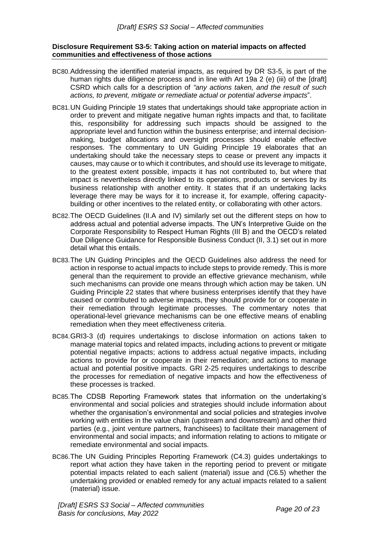#### <span id="page-19-0"></span>**Disclosure Requirement S3-5: Taking action on material impacts on affected communities and effectiveness of those actions**

- BC80.Addressing the identified material impacts, as required by DR S3-5, is part of the human rights due diligence process and in line with Art 19a 2 (e) (iii) of the [draft] CSRD which calls for a description of *"any actions taken, and the result of such actions, to prevent, mitigate or remediate actual or potential adverse impacts*".
- BC81.UN Guiding Principle 19 states that undertakings should take appropriate action in order to prevent and mitigate negative human rights impacts and that, to facilitate this, responsibility for addressing such impacts should be assigned to the appropriate level and function within the business enterprise; and internal decisionmaking, budget allocations and oversight processes should enable effective responses. The commentary to UN Guiding Principle 19 elaborates that an undertaking should take the necessary steps to cease or prevent any impacts it causes, may cause or to which it contributes, and should use its leverage to mitigate, to the greatest extent possible, impacts it has not contributed to, but where that impact is nevertheless directly linked to its operations, products or services by its business relationship with another entity. It states that if an undertaking lacks leverage there may be ways for it to increase it, for example, offering capacitybuilding or other incentives to the related entity, or collaborating with other actors.
- BC82.The OECD Guidelines (II.A and IV) similarly set out the different steps on how to address actual and potential adverse impacts. The UN's Interpretive Guide on the Corporate Responsibility to Respect Human Rights (III B) and the OECD's related Due Diligence Guidance for Responsible Business Conduct (II, 3.1) set out in more detail what this entails.
- BC83.The UN Guiding Principles and the OECD Guidelines also address the need for action in response to actual impacts to include steps to provide remedy. This is more general than the requirement to provide an effective grievance mechanism, while such mechanisms can provide one means through which action may be taken. UN Guiding Principle 22 states that where business enterprises identify that they have caused or contributed to adverse impacts, they should provide for or cooperate in their remediation through legitimate processes. The commentary notes that operational-level grievance mechanisms can be one effective means of enabling remediation when they meet effectiveness criteria.
- BC84.GRI3-3 (d) requires undertakings to disclose information on actions taken to manage material topics and related impacts, including actions to prevent or mitigate potential negative impacts; actions to address actual negative impacts, including actions to provide for or cooperate in their remediation; and actions to manage actual and potential positive impacts. GRI 2-25 requires undertakings to describe the processes for remediation of negative impacts and how the effectiveness of these processes is tracked.
- BC85.The CDSB Reporting Framework states that information on the undertaking's environmental and social policies and strategies should include information about whether the organisation's environmental and social policies and strategies involve working with entities in the value chain (upstream and downstream) and other third parties (e.g., joint venture partners, franchisees) to facilitate their management of environmental and social impacts; and information relating to actions to mitigate or remediate environmental and social impacts.
- BC86.The UN Guiding Principles Reporting Framework (C4.3) guides undertakings to report what action they have taken in the reporting period to prevent or mitigate potential impacts related to each salient (material) issue and (C6.5) whether the undertaking provided or enabled remedy for any actual impacts related to a salient (material) issue.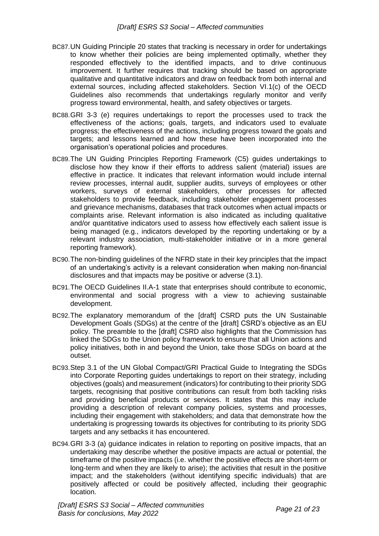- BC87.UN Guiding Principle 20 states that tracking is necessary in order for undertakings to know whether their policies are being implemented optimally, whether they responded effectively to the identified impacts, and to drive continuous improvement. It further requires that tracking should be based on appropriate qualitative and quantitative indicators and draw on feedback from both internal and external sources, including affected stakeholders. Section VI.1(c) of the OECD Guidelines also recommends that undertakings regularly monitor and verify progress toward environmental, health, and safety objectives or targets.
- BC88.GRI 3-3 (e) requires undertakings to report the processes used to track the effectiveness of the actions; goals, targets, and indicators used to evaluate progress; the effectiveness of the actions, including progress toward the goals and targets; and lessons learned and how these have been incorporated into the organisation's operational policies and procedures.
- BC89.The UN Guiding Principles Reporting Framework (C5) guides undertakings to disclose how they know if their efforts to address salient (material) issues are effective in practice. It indicates that relevant information would include internal review processes, internal audit, supplier audits, surveys of employees or other workers, surveys of external stakeholders, other processes for affected stakeholders to provide feedback, including stakeholder engagement processes and grievance mechanisms, databases that track outcomes when actual impacts or complaints arise. Relevant information is also indicated as including qualitative and/or quantitative indicators used to assess how effectively each salient issue is being managed (e.g., indicators developed by the reporting undertaking or by a relevant industry association, multi-stakeholder initiative or in a more general reporting framework).
- BC90.The non-binding guidelines of the NFRD state in their key principles that the impact of an undertaking's activity is a relevant consideration when making non-financial disclosures and that impacts may be positive or adverse (3.1).
- BC91.The OECD Guidelines II.A-1 state that enterprises should contribute to economic, environmental and social progress with a view to achieving sustainable development.
- BC92.The explanatory memorandum of the [draft] CSRD puts the UN Sustainable Development Goals (SDGs) at the centre of the [draft] CSRD's objective as an EU policy. The preamble to the [draft] CSRD also highlights that the Commission has linked the SDGs to the Union policy framework to ensure that all Union actions and policy initiatives, both in and beyond the Union, take those SDGs on board at the outset.
- BC93.Step 3.1 of the UN Global Compact/GRI Practical Guide to Integrating the SDGs into Corporate Reporting guides undertakings to report on their strategy, including objectives (goals) and measurement (indicators) for contributing to their priority SDG targets, recognising that positive contributions can result from both tackling risks and providing beneficial products or services. It states that this may include providing a description of relevant company policies, systems and processes, including their engagement with stakeholders; and data that demonstrate how the undertaking is progressing towards its objectives for contributing to its priority SDG targets and any setbacks it has encountered.
- BC94.GRI 3-3 (a) guidance indicates in relation to reporting on positive impacts, that an undertaking may describe whether the positive impacts are actual or potential, the timeframe of the positive impacts (i.e. whether the positive effects are short-term or long-term and when they are likely to arise); the activities that result in the positive impact; and the stakeholders (without identifying specific individuals) that are positively affected or could be positively affected, including their geographic location.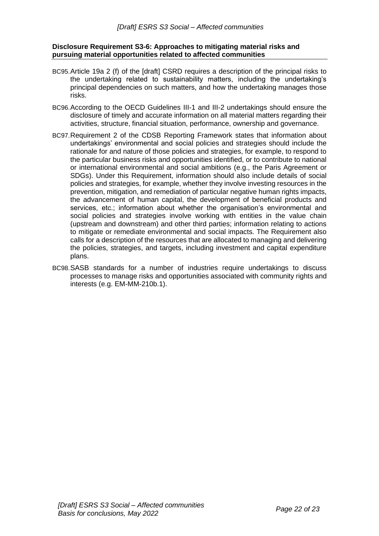#### <span id="page-21-0"></span>**Disclosure Requirement S3-6: Approaches to mitigating material risks and pursuing material opportunities related to affected communities**

- BC95.Article 19a 2 (f) of the [draft] CSRD requires a description of the principal risks to the undertaking related to sustainability matters, including the undertaking's principal dependencies on such matters, and how the undertaking manages those risks.
- BC96.According to the OECD Guidelines III-1 and III-2 undertakings should ensure the disclosure of timely and accurate information on all material matters regarding their activities, structure, financial situation, performance, ownership and governance.
- BC97.Requirement 2 of the CDSB Reporting Framework states that information about undertakings' environmental and social policies and strategies should include the rationale for and nature of those policies and strategies, for example, to respond to the particular business risks and opportunities identified, or to contribute to national or international environmental and social ambitions (e.g., the Paris Agreement or SDGs). Under this Requirement, information should also include details of social policies and strategies, for example, whether they involve investing resources in the prevention, mitigation, and remediation of particular negative human rights impacts, the advancement of human capital, the development of beneficial products and services, etc.; information about whether the organisation's environmental and social policies and strategies involve working with entities in the value chain (upstream and downstream) and other third parties; information relating to actions to mitigate or remediate environmental and social impacts. The Requirement also calls for a description of the resources that are allocated to managing and delivering the policies, strategies, and targets, including investment and capital expenditure plans.
- BC98.SASB standards for a number of industries require undertakings to discuss processes to manage risks and opportunities associated with community rights and interests (e.g. EM-MM-210b.1).